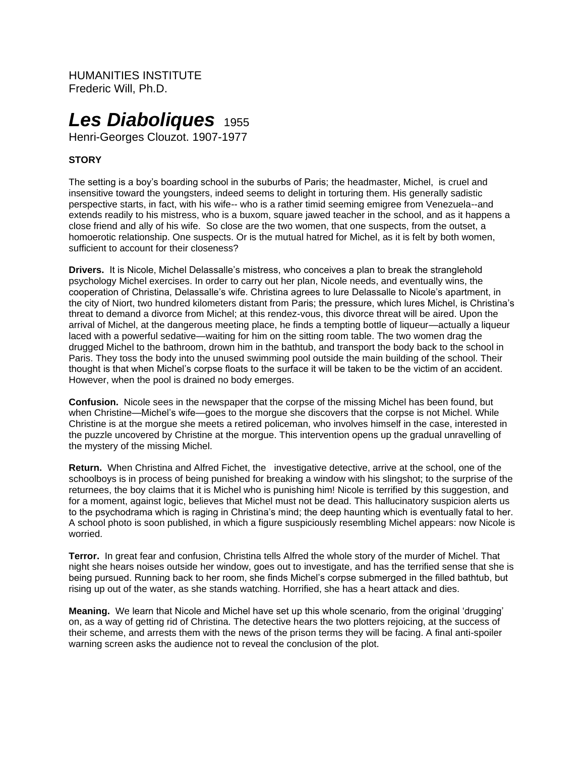HUMANITIES INSTITUTE Frederic Will, Ph.D.

# *Les Diaboliques* <sup>1955</sup>

Henri-Georges Clouzot. 1907-1977

## **STORY**

The setting is a boy's boarding school in the suburbs of Paris; the headmaster, Michel, is cruel and insensitive toward the youngsters, indeed seems to delight in torturing them. His generally sadistic perspective starts, in fact, with his wife-- who is a rather timid seeming emigree from Venezuela--and extends readily to his mistress, who is a buxom, square jawed teacher in the school, and as it happens a close friend and ally of his wife. So close are the two women, that one suspects, from the outset, a homoerotic relationship. One suspects. Or is the mutual hatred for Michel, as it is felt by both women, sufficient to account for their closeness?

**Drivers.** It is Nicole, Michel Delassalle's mistress, who conceives a plan to break the stranglehold psychology Michel exercises. In order to carry out her plan, Nicole needs, and eventually wins, the cooperation of Christina, Delassalle's wife. Christina agrees to lure Delassalle to Nicole's apartment, in the city of Niort, two hundred kilometers distant from Paris; the pressure, which lures Michel, is Christina's threat to demand a divorce from Michel; at this rendez-vous, this divorce threat will be aired. Upon the arrival of Michel, at the dangerous meeting place, he finds a tempting bottle of liqueur—actually a liqueur laced with a powerful sedative—waiting for him on the sitting room table. The two women drag the drugged Michel to the bathroom, drown him in the bathtub, and transport the body back to the school in Paris. They toss the body into the unused swimming pool outside the main building of the school. Their thought is that when Michel's corpse floats to the surface it will be taken to be the victim of an accident. However, when the pool is drained no body emerges.

**Confusion.** Nicole sees in the newspaper that the corpse of the missing Michel has been found, but when Christine—Michel's wife—goes to the morgue she discovers that the corpse is not Michel. While Christine is at the morgue she meets a retired policeman, who involves himself in the case, interested in the puzzle uncovered by Christine at the morgue. This intervention opens up the gradual unravelling of the mystery of the missing Michel.

**Return.** When Christina and Alfred Fichet, the investigative detective, arrive at the school, one of the schoolboys is in process of being punished for breaking a window with his slingshot; to the surprise of the returnees, the boy claims that it is Michel who is punishing him! Nicole is terrified by this suggestion, and for a moment, against logic, believes that Michel must not be dead. This hallucinatory suspicion alerts us to the psychodrama which is raging in Christina's mind; the deep haunting which is eventually fatal to her. A school photo is soon published, in which a figure suspiciously resembling Michel appears: now Nicole is worried.

**Terror.** In great fear and confusion, Christina tells Alfred the whole story of the murder of Michel. That night she hears noises outside her window, goes out to investigate, and has the terrified sense that she is being pursued. Running back to her room, she finds Michel's corpse submerged in the filled bathtub, but rising up out of the water, as she stands watching. Horrified, she has a heart attack and dies.

**Meaning.** We learn that Nicole and Michel have set up this whole scenario, from the original 'drugging' on, as a way of getting rid of Christina. The detective hears the two plotters rejoicing, at the success of their scheme, and arrests them with the news of the prison terms they will be facing. A final anti-spoiler warning screen asks the audience not to reveal the conclusion of the plot.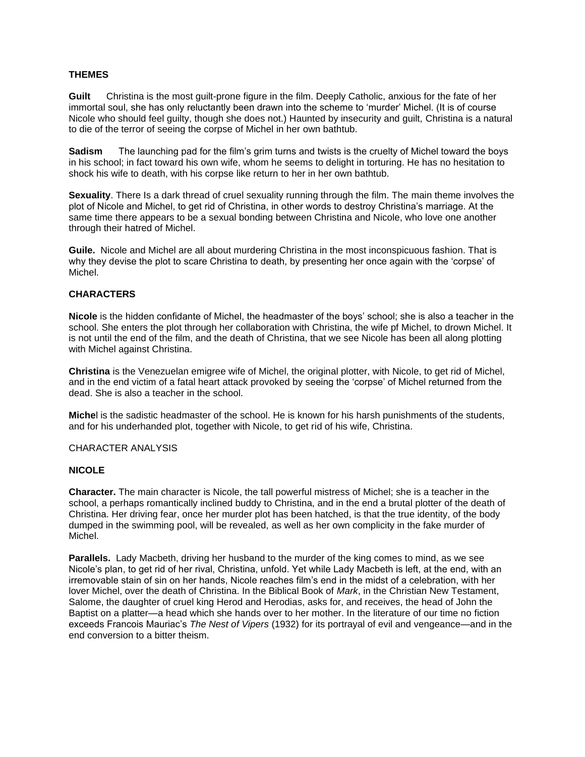#### **THEMES**

**Guilt** Christina is the most guilt-prone figure in the film. Deeply Catholic, anxious for the fate of her immortal soul, she has only reluctantly been drawn into the scheme to 'murder' Michel. (It is of course Nicole who should feel guilty, though she does not.) Haunted by insecurity and guilt, Christina is a natural to die of the terror of seeing the corpse of Michel in her own bathtub.

**Sadism** The launching pad for the film's grim turns and twists is the cruelty of Michel toward the boys in his school; in fact toward his own wife, whom he seems to delight in torturing. He has no hesitation to shock his wife to death, with his corpse like return to her in her own bathtub.

**Sexuality**. There Is a dark thread of cruel sexuality running through the film. The main theme involves the plot of Nicole and Michel, to get rid of Christina, in other words to destroy Christina's marriage. At the same time there appears to be a sexual bonding between Christina and Nicole, who love one another through their hatred of Michel.

**Guile.** Nicole and Michel are all about murdering Christina in the most inconspicuous fashion. That is why they devise the plot to scare Christina to death, by presenting her once again with the 'corpse' of Michel.

### **CHARACTERS**

**Nicole** is the hidden confidante of Michel, the headmaster of the boys' school; she is also a teacher in the school. She enters the plot through her collaboration with Christina, the wife pf Michel, to drown Michel. It is not until the end of the film, and the death of Christina, that we see Nicole has been all along plotting with Michel against Christina.

**Christina** is the Venezuelan emigree wife of Michel, the original plotter, with Nicole, to get rid of Michel, and in the end victim of a fatal heart attack provoked by seeing the 'corpse' of Michel returned from the dead. She is also a teacher in the school.

**Miche**l is the sadistic headmaster of the school. He is known for his harsh punishments of the students, and for his underhanded plot, together with Nicole, to get rid of his wife, Christina.

#### CHARACTER ANALYSIS

#### **NICOLE**

**Character.** The main character is Nicole, the tall powerful mistress of Michel; she is a teacher in the school, a perhaps romantically inclined buddy to Christina, and in the end a brutal plotter of the death of Christina. Her driving fear, once her murder plot has been hatched, is that the true identity, of the body dumped in the swimming pool, will be revealed, as well as her own complicity in the fake murder of Michel.

**Parallels.** Lady Macbeth, driving her husband to the murder of the king comes to mind, as we see Nicole's plan, to get rid of her rival, Christina, unfold. Yet while Lady Macbeth is left, at the end, with an irremovable stain of sin on her hands, Nicole reaches film's end in the midst of a celebration, with her lover Michel, over the death of Christina. In the Biblical Book of *Mark*, in the Christian New Testament, Salome, the daughter of cruel king Herod and Herodias, asks for, and receives, the head of John the Baptist on a platter—a head which she hands over to her mother. In the literature of our time no fiction exceeds Francois Mauriac's *The Nest of Vipers* (1932) for its portrayal of evil and vengeance—and in the end conversion to a bitter theism.